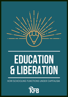

# **EDUCATION & LIBERATION**

HOW SCHOOLING FUNCTIONS UNDER CAPITALISM

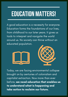### **EDUCATION MATTERS!**

A good education is a necessity for everyone. Education forms the foundations of our lives, from childhood to our later years. It gives us tools to interpret and navigate the world around us. No society can thrive without an educated population.





Today, we are facing environmental collapse brought on by centuries of colonialism and capitalist extraction. Now more than ever before, we need education that enables us to understand what is happening and take action to reclaim our future.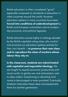British education is often considered " good, " especially compared to standards of education in other countries around the world. However, education systems in many countries have been forced into conditions of underdevelopment by British and European colonialism and its modernday economic and political legacies.

British education scores highly in rankings devised by the British capitalist ruling class, who control and structure our education systems entirely for their own benefit - to preserve their own class and to reproduce the class of workers whose labour they rely on.

In the classroom, students are indoctrinated with capitalist and imperialist ideology. We are taught to equate economic productivity with moral worth, to glorify war and colonisation, and to obey orders. Questioning or deviating from norms is discouraged or even punished. Eventually, students internalise these ideas and perpetuate them for another generation.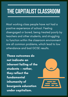### **THE CAPITALIST CLASSROOM**

Most working class people have not had a positive experience of school. Feeling disengaged or bored, being treated poorly by teachers and other students, and struggling to function within the classroom environment are all common problems, which lead to low attendance and bad GCSE results.

These outcomes do not indicate an inherent failing of the students — rather, they reflect the fundamental inhumanity of bourgeois education under capitalism.

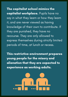The capitalist school mimics the capitalist workplace. Pupils have no say in what they learn or how they learn it, and are never viewed as having knowledge of their own to contribute. If they are punished, they have no recourse. They are only allowed to express themselves during strictly limited periods of time, at lunch or recess.

This restrictive environment prepares young people for the misery and alienation that they are expected to experience as working adults.

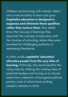Children are brimming with interest, talent, and a natural ability to learn and grow. Capitalist education is designed to suppress and eliminate these qualities rather than nurture them. Few adults know the true joys of learning; they associate the concept of education with the traumas of schooling, where they were punished for challenging authority or expressing themselves.

In other words, capitalist 'education' alienates people from the very idea of learning. Politically, this result benefits the ruling class by robbing the working class of potential leaders and forcing us to choose sides from a selection of bourgeois political parties, none of whom have working people 's interests in mind.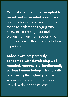Capitalist education also upholds racist and imperialist narratives about Britain ' s role in world history, teaching children to regurgitate chauvinistic propaganda and preventing them from recognising their position as the proletariat of an imperialist nation.

Schools are not primarily concerned with developing wellrounded, responsible, intellectually curious human beings. Their priority is achieving the highest possible scores on the standardised tests issued by the capitalist state.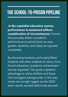#### **THESCHOOL-TO-PRISON PIPELINE**

In the capitalist education system, performance is measured without consideration of circumstances. Factors that provably affect a student' s performance at school (such as race, gender, disability, and class) are ignored completely.

By alienating students, particularly Black students and other students of colour, from formal education, academic achievement can be regulated. This gives a systemic advantage to white children and those from bourgeois backgrounds. In this way, marks are outright rigged, as the 2020 exam results scandal definitively showed.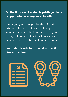#### On the flip side of systemic privilege, there is oppression and super-exploitation.

The majority of " young offenders " (child prisoners) have a similar story: their path to incarceration or institutionalisation began through class exclusion, in-school exclusion, expulsion, and finally arrest and imprisonment.

Each step leads to the next — and it all starts in school.

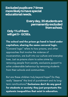Excluded pupils are 7 times more likely to have special educationalneeds.

#### Everyday,35studentsare permanentlyexcluded fromschool.

Only1%ofthem willget5+GCSEs.

The school and the prison go hand in hand under capitalism, sharing the same carceral logic. "Carceral logic" refers to how prisons, and other approaches that involve the violence of incarceration, are built into our culture and everyday lives. Just as prisons claim to solve crime by removing people from society, exclusions purport to solve undesirable behaviour by removing students from their schools and communities.

But are these children truly beyond hope? Do they really "deserve " this kind of punishment and its longterm ramifications? **Exclusions don't do any good** for students or society; they just perpetuate the systemic inequalities that exist in education.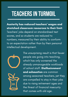### **TEACHERSIN TURMOIL**

Austerity has reduced teachers' wages and stretched classroom resources to their limit. Teachers ' jobs depend on standardised test scores, and so students are reduced to numbers, measured by their ability to conform to an expectation rather than by their personal intellectual development.





The unsurprising result is that fewer people are going into teaching, which has only worsened the already unmanageable workloads of school staff. Disillusionment and exhaustion are common among seasoned teachers, yet they are compelled to stay in their jobs due to rising retirement ages and the threat of financial insecurity that comes with old age.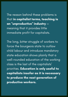The reason behind these problems is that in capitalist terms, teaching is an " unproductive " industry meaning that it provides little immediate profit for capitalists.

The long, bitter struggle of workers to force the bourgeois state to outlaw child labour and introduce mandatory state education shows plainly that a well-rounded education of the working class is the last of the capitalists ' priorities. Education is only useful to capitalists insofar as it is necessary to produce the next generation of productive workers.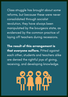Class struggle has brought about some reforms, but because these were never consolidated through socialist revolution, they have always been manipulated by the bourgeois state, as evidenced by the common practice of laying off teachers during recessions.

The result of this arrangement is that everyone suffers. Pitted against each other, students and teachers alike are denied the rightful joys of giving, receiving, and developing knowledge.

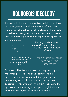#### **BOURGEOISIDEOLOGY**

The content of school curricula is equally harmful. From the outset, schools teach the ideology of capitalistimperialism, attempting to instill children with a deeply rooted belief in a system that enriches a small class of land- and property-owners and exploits and oppresses working people.

"fascism is a thing of the past"

*"history is like a novel where the main characters are monarchs and their children"*

"Britain is a democracy and respects the democracy of other nations"

"our system rewards hard work and creativity"

Statements like these are false, but they are taught to the working classes so that we identify with our oppressors and sympathise with bourgeois perspectives on political, historical, and social issues. Capitalist education is meant to prevent us from recognising the oppression that is wrought by capitalism globally: we can't challenge what we don't realise exists.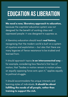### **EDUCATION ASLIBERATION**

We need a new, liberatory approach to education, because the capitalist education system was not designed for the benefit of working class and oppressed people: it was designed to suppress us.

A liberatory education should teach real history, recognising that the modern world is built on a system of injustice and exploitation — but also that there are many legacies of fierce resistance to be studied and learned from.

It should approach topics in an interconnected way  $$ for example, considering how Newton ' s first law of motion, that "bodies in motion remain in motion unless an equally opposing force acts upon it, " applies equally to political struggle.

It should accommodate the unique interests and learning styles of individuals. It should be about fulfilling the needs of all people, rather than training to support the rich.